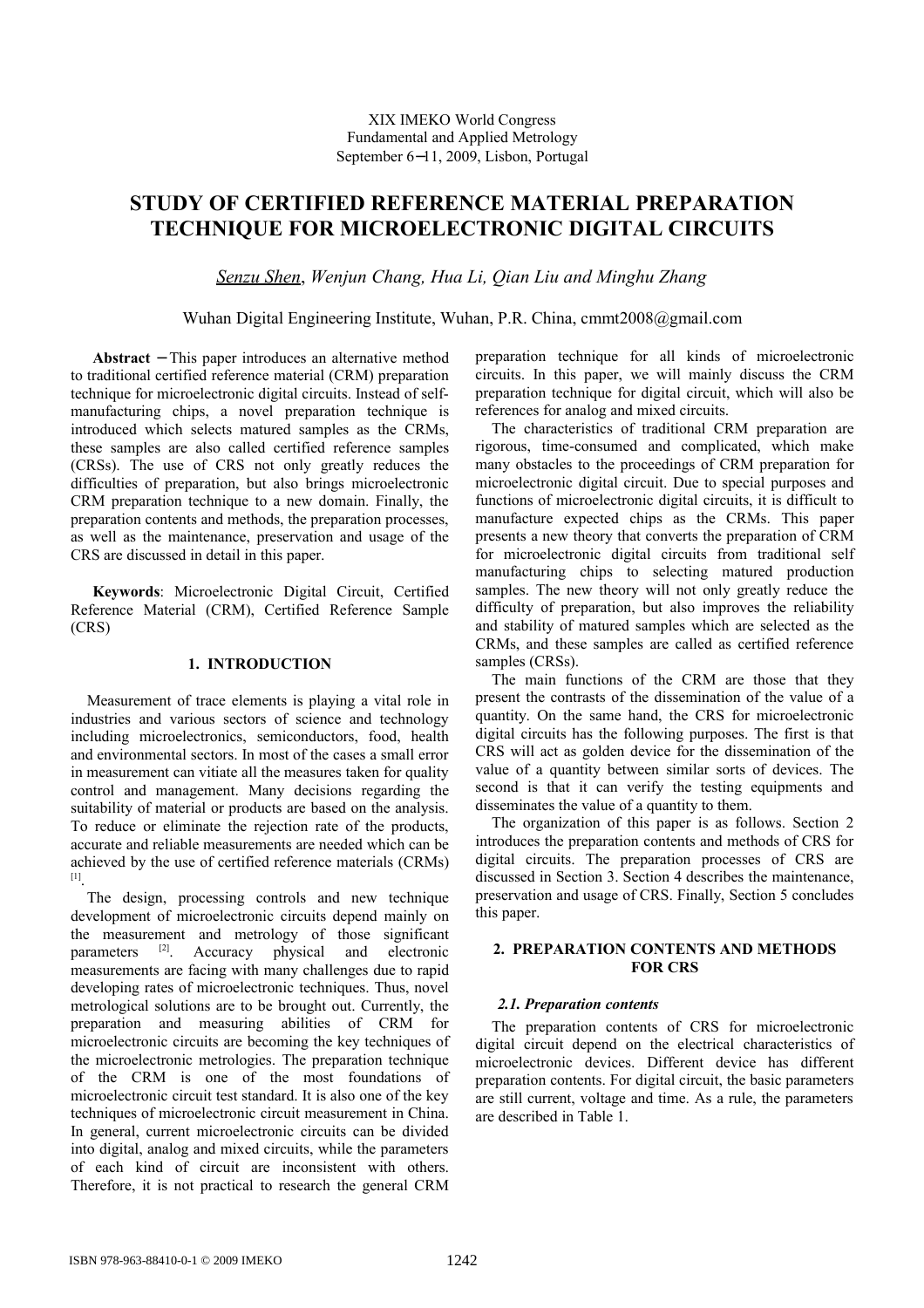# **STUDY OF CERTIFIED REFERENCE MATERIAL PREPARATION TECHNIQUE FOR MICROELECTRONIC DIGITAL CIRCUITS**

*Senzu Shen*, *Wenjun Chang, Hua Li, Qian Liu and Minghu Zhang*

Wuhan Digital Engineering Institute, Wuhan, P.R. China, cmmt2008@gmail.com

**Abstract** − This paper introduces an alternative method to traditional certified reference material (CRM) preparation technique for microelectronic digital circuits. Instead of selfmanufacturing chips, a novel preparation technique is introduced which selects matured samples as the CRMs, these samples are also called certified reference samples (CRSs). The use of CRS not only greatly reduces the difficulties of preparation, but also brings microelectronic CRM preparation technique to a new domain. Finally, the preparation contents and methods, the preparation processes, as well as the maintenance, preservation and usage of the CRS are discussed in detail in this paper.

**Keywords**: Microelectronic Digital Circuit, Certified Reference Material (CRM), Certified Reference Sample (CRS)

## **1. INTRODUCTION**

Measurement of trace elements is playing a vital role in industries and various sectors of science and technology including microelectronics, semiconductors, food, health and environmental sectors. In most of the cases a small error in measurement can vitiate all the measures taken for quality control and management. Many decisions regarding the suitability of material or products are based on the analysis. To reduce or eliminate the rejection rate of the products, accurate and reliable measurements are needed which can be achieved by the use of certified reference materials (CRMs) [1] .

The design, processing controls and new technique development of microelectronic circuits depend mainly on the measurement and metrology of those significant parameters [2]. Accuracy physical and electronic measurements are facing with many challenges due to rapid developing rates of microelectronic techniques. Thus, novel metrological solutions are to be brought out. Currently, the preparation and measuring abilities of CRM for microelectronic circuits are becoming the key techniques of the microelectronic metrologies. The preparation technique of the CRM is one of the most foundations of microelectronic circuit test standard. It is also one of the key techniques of microelectronic circuit measurement in China. In general, current microelectronic circuits can be divided into digital, analog and mixed circuits, while the parameters of each kind of circuit are inconsistent with others. Therefore, it is not practical to research the general CRM

preparation technique for all kinds of microelectronic circuits. In this paper, we will mainly discuss the CRM preparation technique for digital circuit, which will also be references for analog and mixed circuits.

The characteristics of traditional CRM preparation are rigorous, time-consumed and complicated, which make many obstacles to the proceedings of CRM preparation for microelectronic digital circuit. Due to special purposes and functions of microelectronic digital circuits, it is difficult to manufacture expected chips as the CRMs. This paper presents a new theory that converts the preparation of CRM for microelectronic digital circuits from traditional self manufacturing chips to selecting matured production samples. The new theory will not only greatly reduce the difficulty of preparation, but also improves the reliability and stability of matured samples which are selected as the CRMs, and these samples are called as certified reference samples (CRSs).

The main functions of the CRM are those that they present the contrasts of the dissemination of the value of a quantity. On the same hand, the CRS for microelectronic digital circuits has the following purposes. The first is that CRS will act as golden device for the dissemination of the value of a quantity between similar sorts of devices. The second is that it can verify the testing equipments and disseminates the value of a quantity to them.

The organization of this paper is as follows. Section 2 introduces the preparation contents and methods of CRS for digital circuits. The preparation processes of CRS are discussed in Section 3. Section 4 describes the maintenance, preservation and usage of CRS. Finally, Section 5 concludes this paper.

# **2. PREPARATION CONTENTS AND METHODS FOR CRS**

# *2.1. Preparation contents*

The preparation contents of CRS for microelectronic digital circuit depend on the electrical characteristics of microelectronic devices. Different device has different preparation contents. For digital circuit, the basic parameters are still current, voltage and time. As a rule, the parameters are described in Table 1.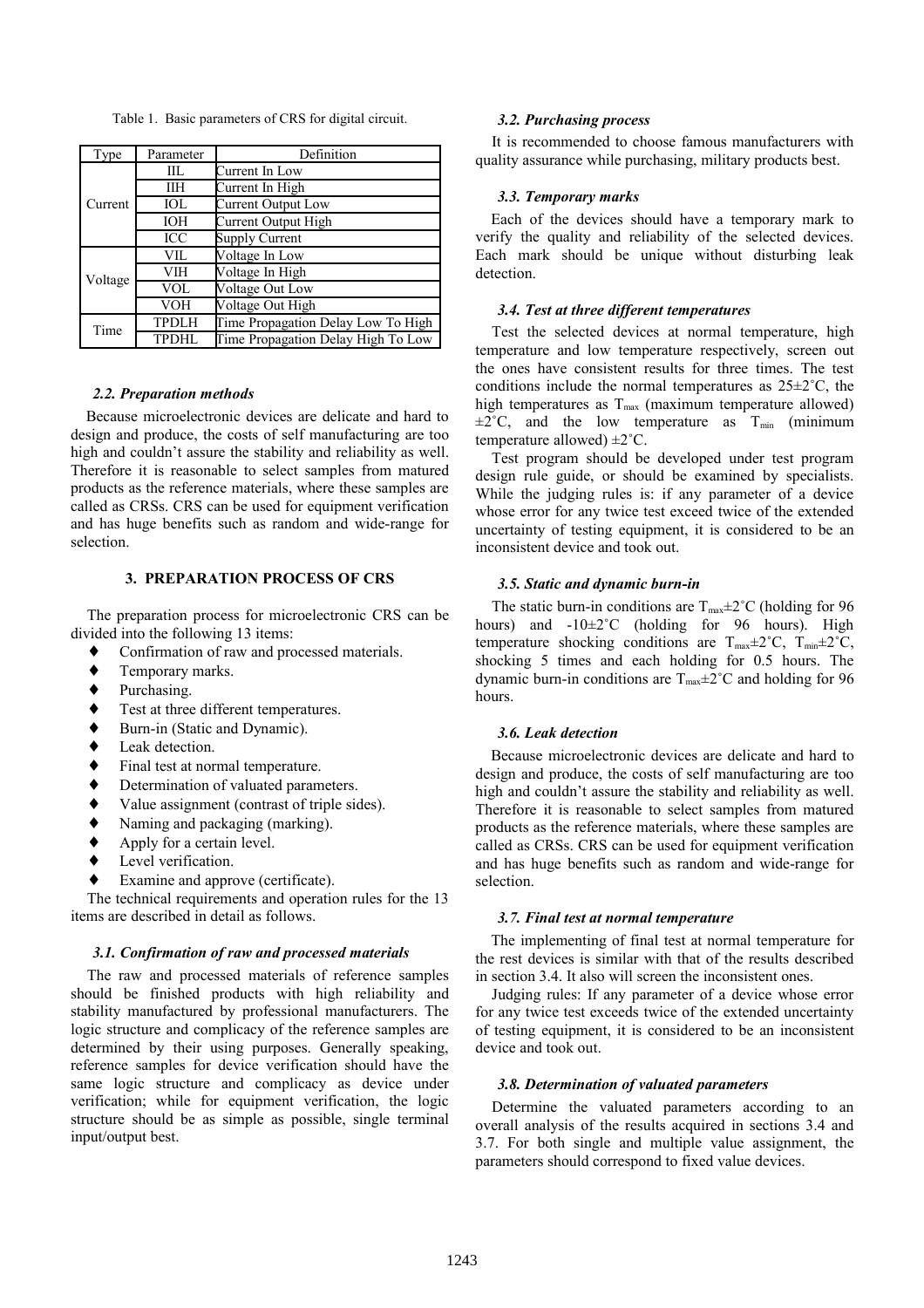Table 1. Basic parameters of CRS for digital circuit.

| Type    | Parameter    | Definition                         |
|---------|--------------|------------------------------------|
| Current | IIL          | Current In Low                     |
|         | IІН          | Current In High                    |
|         | IOL          | Current Output Low                 |
|         | <b>IOH</b>   | Current Output High                |
|         | ICC          | Supply Current                     |
| Voltage | VIL          | Voltage In Low                     |
|         | VIH          | Voltage In High                    |
|         | <b>VOL</b>   | Voltage Out Low                    |
|         | <b>VOH</b>   | Voltage Out High                   |
| Time    | <b>TPDLH</b> | Time Propagation Delay Low To High |
|         | <b>TPDHL</b> | Time Propagation Delay High To Low |

#### *2.2. Preparation methods*

Because microelectronic devices are delicate and hard to design and produce, the costs of self manufacturing are too high and couldn't assure the stability and reliability as well. Therefore it is reasonable to select samples from matured products as the reference materials, where these samples are called as CRSs. CRS can be used for equipment verification and has huge benefits such as random and wide-range for selection.

# **3. PREPARATION PROCESS OF CRS**

The preparation process for microelectronic CRS can be divided into the following 13 items:

- Confirmation of raw and processed materials.
- ♦ Temporary marks.
- ♦ Purchasing.
- ♦ Test at three different temperatures.
- ♦ Burn-in (Static and Dynamic).
- ♦ Leak detection.
- ♦ Final test at normal temperature.
- ♦ Determination of valuated parameters.
- ♦ Value assignment (contrast of triple sides).
- Naming and packaging (marking).
- $\leftrightarrow$  Apply for a certain level.
- Level verification.
- Examine and approve (certificate).

The technical requirements and operation rules for the 13 items are described in detail as follows.

#### *3.1. Confirmation of raw and processed materials*

The raw and processed materials of reference samples should be finished products with high reliability and stability manufactured by professional manufacturers. The logic structure and complicacy of the reference samples are determined by their using purposes. Generally speaking, reference samples for device verification should have the same logic structure and complicacy as device under verification; while for equipment verification, the logic structure should be as simple as possible, single terminal input/output best.

#### *3.2. Purchasing process*

It is recommended to choose famous manufacturers with quality assurance while purchasing, military products best.

# *3.3. Temporary marks*

Each of the devices should have a temporary mark to verify the quality and reliability of the selected devices. Each mark should be unique without disturbing leak detection.

## *3.4. Test at three different temperatures*

Test the selected devices at normal temperature, high temperature and low temperature respectively, screen out the ones have consistent results for three times. The test conditions include the normal temperatures as  $25 \pm 2^{\circ}$ C, the high temperatures as  $T_{\text{max}}$  (maximum temperature allowed)  $\pm 2^{\circ}$ C, and the low temperature as T<sub>min</sub> (minimum temperature allowed)  $\pm 2^{\circ}$ C.

Test program should be developed under test program design rule guide, or should be examined by specialists. While the judging rules is: if any parameter of a device whose error for any twice test exceed twice of the extended uncertainty of testing equipment, it is considered to be an inconsistent device and took out.

## *3.5. Static and dynamic burn-in*

The static burn-in conditions are  $T_{\text{max}} \pm 2^{\circ}C$  (holding for 96 hours) and -10±2˚C (holding for 96 hours). High temperature shocking conditions are  $T_{\text{max}} \pm 2^{\circ}C$ ,  $T_{\text{min}} \pm 2^{\circ}C$ , shocking 5 times and each holding for 0.5 hours. The dynamic burn-in conditions are  $T_{\text{max}}\pm 2^{\circ}C$  and holding for 96 hours.

#### *3.6. Leak detection*

Because microelectronic devices are delicate and hard to design and produce, the costs of self manufacturing are too high and couldn't assure the stability and reliability as well. Therefore it is reasonable to select samples from matured products as the reference materials, where these samples are called as CRSs. CRS can be used for equipment verification and has huge benefits such as random and wide-range for selection.

#### *3.7. Final test at normal temperature*

The implementing of final test at normal temperature for the rest devices is similar with that of the results described in section 3.4. It also will screen the inconsistent ones.

Judging rules: If any parameter of a device whose error for any twice test exceeds twice of the extended uncertainty of testing equipment, it is considered to be an inconsistent device and took out.

#### *3.8. Determination of valuated parameters*

Determine the valuated parameters according to an overall analysis of the results acquired in sections 3.4 and 3.7. For both single and multiple value assignment, the parameters should correspond to fixed value devices.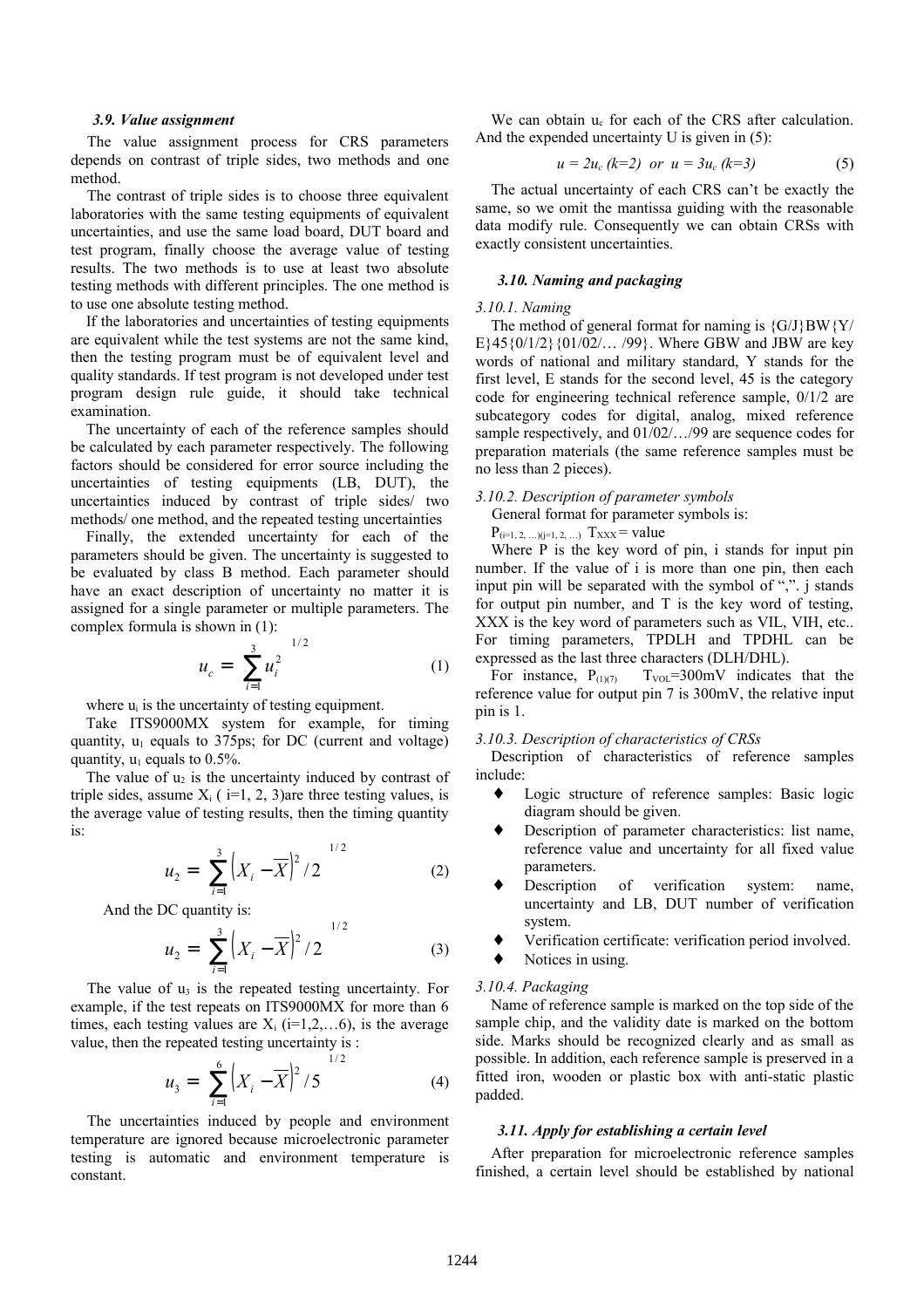#### *3.9. Value assignment*

The value assignment process for CRS parameters depends on contrast of triple sides, two methods and one method.

The contrast of triple sides is to choose three equivalent laboratories with the same testing equipments of equivalent uncertainties, and use the same load board, DUT board and test program, finally choose the average value of testing results. The two methods is to use at least two absolute testing methods with different principles. The one method is to use one absolute testing method.

If the laboratories and uncertainties of testing equipments are equivalent while the test systems are not the same kind, then the testing program must be of equivalent level and quality standards. If test program is not developed under test program design rule guide, it should take technical examination.

The uncertainty of each of the reference samples should be calculated by each parameter respectively. The following factors should be considered for error source including the uncertainties of testing equipments (LB, DUT), the uncertainties induced by contrast of triple sides/ two methods/ one method, and the repeated testing uncertainties

Finally, the extended uncertainty for each of the parameters should be given. The uncertainty is suggested to be evaluated by class B method. Each parameter should have an exact description of uncertainty no matter it is assigned for a single parameter or multiple parameters. The complex formula is shown in (1):

$$
u_c = \left(\sum_{i=1}^3 u_i^2\right)^{1/2} \tag{1}
$$

where  $u_i$  is the uncertainty of testing equipment.

Take ITS9000MX system for example, for timing quantity,  $u_1$  equals to 375ps; for DC (current and voltage) quantity,  $u_1$  equals to 0.5%.

The value of  $u_2$  is the uncertainty induced by contrast of triple sides, assume  $X_i$  ( i=1, 2, 3) are three testing values, is the average value of testing results, then the timing quantity is:

$$
u_2 = \left(\sum_{i=1}^{3} \left(X_i - \overline{X}\right)^2 / 2\right)^{1/2}
$$
 (2)

And the DC quantity is:

$$
u_2 = \left(\sum_{i=1}^{3} \left(X_i - \overline{X}\right)^2 / 2\right)^{1/2} \tag{3}
$$

The value of  $u_3$  is the repeated testing uncertainty. For example, if the test repeats on ITS9000MX for more than 6 times, each testing values are  $X_i$  (i=1,2,...6), is the average value, then the repeated testing uncertainty is :

$$
u_3 = \left(\sum_{i=1}^{6} \left(X_i - \overline{X}\right)^2 / 5\right)^{1/2}
$$
 (4)

The uncertainties induced by people and environment temperature are ignored because microelectronic parameter testing is automatic and environment temperature is constant.

We can obtain u<sub>c</sub> for each of the CRS after calculation. And the expended uncertainty U is given in (5):

$$
u = 2u_c (k=2) \text{ or } u = 3u_c (k=3)
$$
 (5)

The actual uncertainty of each CRS can't be exactly the same, so we omit the mantissa guiding with the reasonable data modify rule. Consequently we can obtain CRSs with exactly consistent uncertainties.

## *3.10. Naming and packaging*

#### *3.10.1. Naming*

The method of general format for naming is  ${G/J}$ BW ${Y/}$ E}45{0/1/2}{01/02/… /99}. Where GBW and JBW are key words of national and military standard, Y stands for the first level, E stands for the second level, 45 is the category code for engineering technical reference sample, 0/1/2 are subcategory codes for digital, analog, mixed reference sample respectively, and  $01/02/$ .../99 are sequence codes for preparation materials (the same reference samples must be no less than 2 pieces).

*3.10.2. Description of parameter symbols*

General format for parameter symbols is:

 $P_{(i=1, 2, ...) (j=1, 2, ...)}$  Txxx = value

Where P is the key word of pin, i stands for input pin number. If the value of i is more than one pin, then each input pin will be separated with the symbol of ",". j stands for output pin number, and T is the key word of testing, XXX is the key word of parameters such as VIL, VIH, etc.. For timing parameters, TPDLH and TPDHL can be expressed as the last three characters (DLH/DHL).

For instance,  $P_{(1)(7)}$   $T_{\text{VO}}=300 \text{mV}$  indicates that the reference value for output pin 7 is 300mV, the relative input pin is 1.

## *3.10.3. Description of characteristics of CRSs*

Description of characteristics of reference samples include:

- Logic structure of reference samples: Basic logic diagram should be given.
- Description of parameter characteristics: list name, reference value and uncertainty for all fixed value parameters.
- Description of verification system: name, uncertainty and LB, DUT number of verification system.
- Verification certificate: verification period involved.
- Notices in using.

## *3.10.4. Packaging*

Name of reference sample is marked on the top side of the sample chip, and the validity date is marked on the bottom side. Marks should be recognized clearly and as small as possible. In addition, each reference sample is preserved in a fitted iron, wooden or plastic box with anti-static plastic padded.

## *3.11. Apply for establishing a certain level*

After preparation for microelectronic reference samples finished, a certain level should be established by national